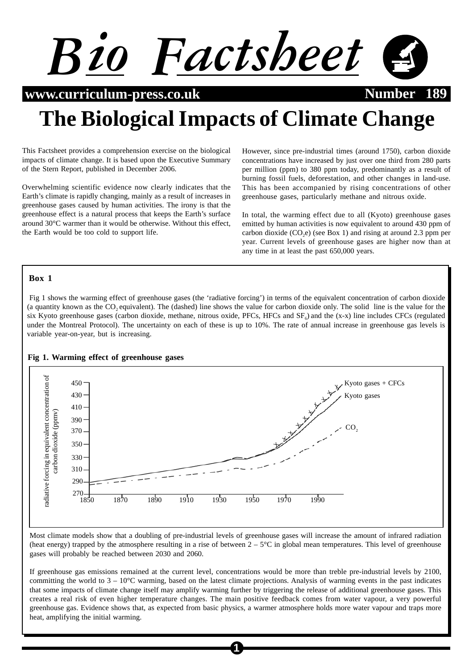

**www.curriculum-press.co.uk Number 189** 

# **The Biological Impacts of Climate Change**

This Factsheet provides a comprehension exercise on the biological impacts of climate change. It is based upon the Executive Summary of the Stern Report, published in December 2006.

Overwhelming scientific evidence now clearly indicates that the Earth's climate is rapidly changing, mainly as a result of increases in greenhouse gases caused by human activities. The irony is that the greenhouse effect is a natural process that keeps the Earth's surface around 30°C warmer than it would be otherwise. Without this effect, the Earth would be too cold to support life.

However, since pre-industrial times (around 1750), carbon dioxide concentrations have increased by just over one third from 280 parts per million (ppm) to 380 ppm today, predominantly as a result of burning fossil fuels, deforestation, and other changes in land-use. This has been accompanied by rising concentrations of other greenhouse gases, particularly methane and nitrous oxide.

In total, the warming effect due to all (Kyoto) greenhouse gases emitted by human activities is now equivalent to around 430 ppm of carbon dioxide  $(CO,e)$  (see Box 1) and rising at around 2.3 ppm per year. Current levels of greenhouse gases are higher now than at any time in at least the past 650,000 years.

## **Box 1**

 Fig 1 shows the warming effect of greenhouse gases (the 'radiative forcing') in terms of the equivalent concentration of carbon dioxide (a quantity known as the CO<sub>2</sub> equivalent). The (dashed) line shows the value for carbon dioxide only. The solid line is the value for the six Kyoto greenhouse gases (carbon dioxide, methane, nitrous oxide, PFCs, HFCs and  $SF<sub>c</sub>$ ) and the (x-x) line includes CFCs (regulated under the Montreal Protocol). The uncertainty on each of these is up to 10%. The rate of annual increase in greenhouse gas levels is variable year-on-year, but is increasing.



#### **Fig 1. Warming effect of greenhouse gases**

Most climate models show that a doubling of pre-industrial levels of greenhouse gases will increase the amount of infrared radiation (heat energy) trapped by the atmosphere resulting in a rise of between  $2 - 5^{\circ}$ C in global mean temperatures. This level of greenhouse gases will probably be reached between 2030 and 2060.

If greenhouse gas emissions remained at the current level, concentrations would be more than treble pre-industrial levels by 2100, committing the world to  $3 - 10^{\circ}$ C warming, based on the latest climate projections. Analysis of warming events in the past indicates that some impacts of climate change itself may amplify warming further by triggering the release of additional greenhouse gases. This creates a real risk of even higher temperature changes. The main positive feedback comes from water vapour, a very powerful greenhouse gas. Evidence shows that, as expected from basic physics, a warmer atmosphere holds more water vapour and traps more heat, amplifying the initial warming.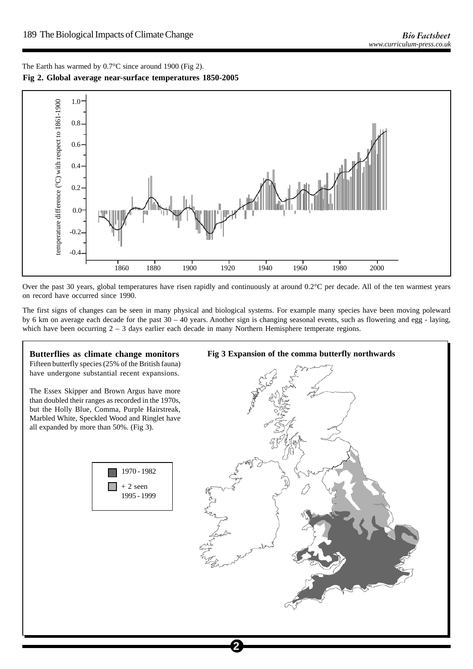The Earth has warmed by 0.7°C since around 1900 (Fig 2). **Fig 2. Global average near-surface temperatures 1850-2005**



Over the past 30 years, global temperatures have risen rapidly and continuously at around  $0.2^{\circ}$ C per decade. All of the ten warmest years on record have occurred since 1990.

The first signs of changes can be seen in many physical and biological systems. For example many species have been moving poleward by 6 km on average each decade for the past 30 – 40 years. Another sign is changing seasonal events, such as flowering and egg - laying, which have been occurring  $2 - 3$  days earlier each decade in many Northern Hemisphere temperate regions.

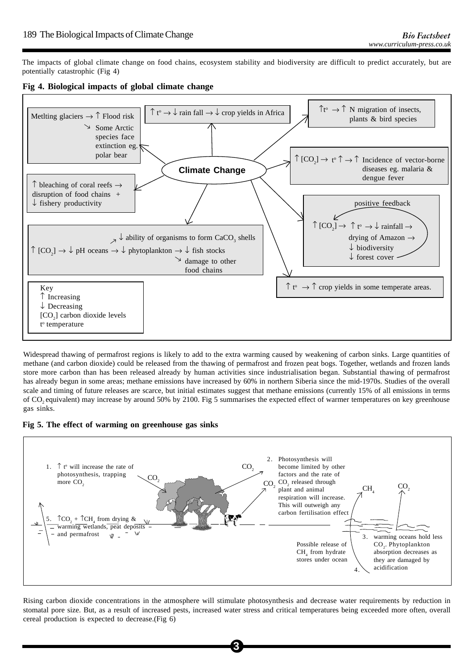The impacts of global climate change on food chains, ecosystem stability and biodiversity are difficult to predict accurately, but are potentially catastrophic (Fig 4)

**Fig 4. Biological impacts of global climate change**



Widespread thawing of permafrost regions is likely to add to the extra warming caused by weakening of carbon sinks. Large quantities of methane (and carbon dioxide) could be released from the thawing of permafrost and frozen peat bogs. Together, wetlands and frozen lands store more carbon than has been released already by human activities since industrialisation began. Substantial thawing of permafrost has already begun in some areas; methane emissions have increased by 60% in northern Siberia since the mid-1970s. Studies of the overall scale and timing of future releases are scarce, but initial estimates suggest that methane emissions (currently 15% of all emissions in terms of CO2 equivalent) may increase by around 50% by 2100. Fig 5 summarises the expected effect of warmer temperatures on key greenhouse gas sinks.

**Fig 5. The effect of warming on greenhouse gas sinks**



Rising carbon dioxide concentrations in the atmosphere will stimulate photosynthesis and decrease water requirements by reduction in stomatal pore size. But, as a result of increased pests, increased water stress and critical temperatures being exceeded more often, overall cereal production is expected to decrease.(Fig 6)